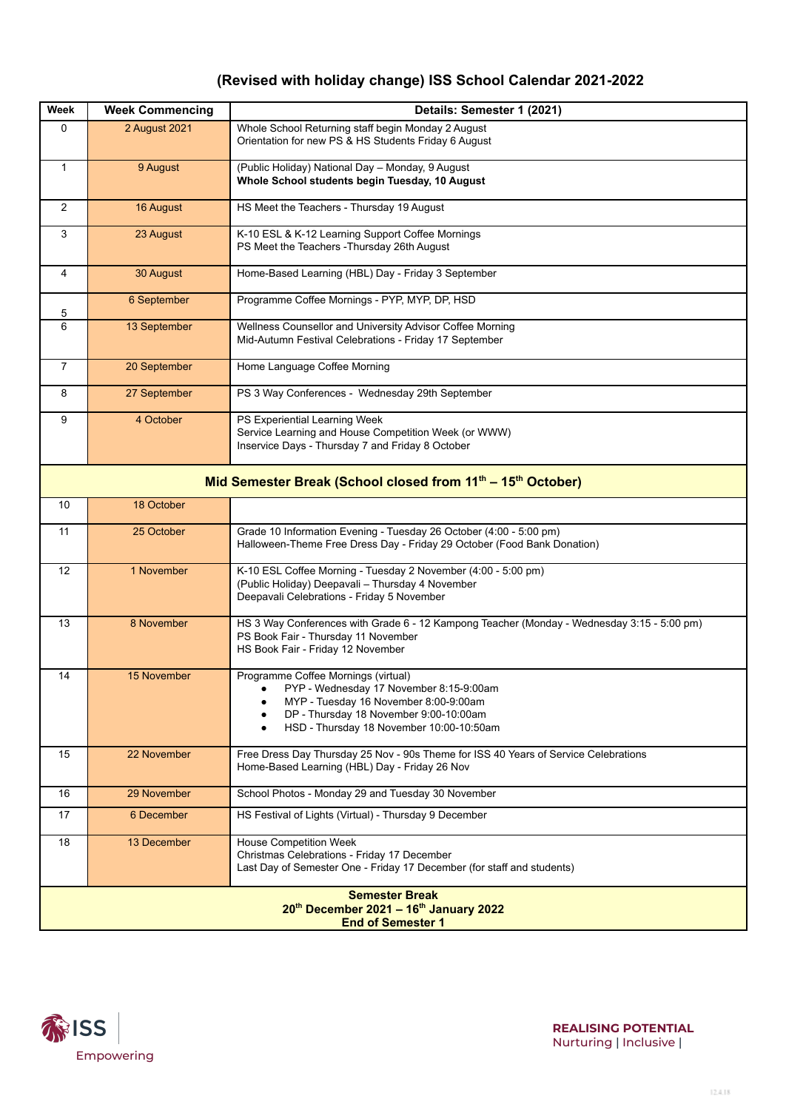## **(Revised with holiday change) ISS School Calendar 2021-2022**

| Week                                                                                        | <b>Week Commencing</b> | Details: Semester 1 (2021)                                                                                                                                                                                    |  |  |
|---------------------------------------------------------------------------------------------|------------------------|---------------------------------------------------------------------------------------------------------------------------------------------------------------------------------------------------------------|--|--|
| 0                                                                                           | 2 August 2021          | Whole School Returning staff begin Monday 2 August<br>Orientation for new PS & HS Students Friday 6 August                                                                                                    |  |  |
| $\mathbf{1}$                                                                                | 9 August               | (Public Holiday) National Day - Monday, 9 August<br>Whole School students begin Tuesday, 10 August                                                                                                            |  |  |
| 2                                                                                           | 16 August              | HS Meet the Teachers - Thursday 19 August                                                                                                                                                                     |  |  |
| 3                                                                                           | 23 August              | K-10 ESL & K-12 Learning Support Coffee Mornings<br>PS Meet the Teachers - Thursday 26th August                                                                                                               |  |  |
| 4                                                                                           | 30 August              | Home-Based Learning (HBL) Day - Friday 3 September                                                                                                                                                            |  |  |
| 5                                                                                           | 6 September            | Programme Coffee Mornings - PYP, MYP, DP, HSD                                                                                                                                                                 |  |  |
| 6                                                                                           | 13 September           | Wellness Counsellor and University Advisor Coffee Morning<br>Mid-Autumn Festival Celebrations - Friday 17 September                                                                                           |  |  |
| 7                                                                                           | 20 September           | Home Language Coffee Morning                                                                                                                                                                                  |  |  |
| 8                                                                                           | 27 September           | PS 3 Way Conferences - Wednesday 29th September                                                                                                                                                               |  |  |
| 9                                                                                           | 4 October              | PS Experiential Learning Week<br>Service Learning and House Competition Week (or WWW)<br>Inservice Days - Thursday 7 and Friday 8 October                                                                     |  |  |
| Mid Semester Break (School closed from 11 <sup>th</sup> - 15 <sup>th</sup> October)         |                        |                                                                                                                                                                                                               |  |  |
| 10                                                                                          | 18 October             |                                                                                                                                                                                                               |  |  |
| 11                                                                                          | 25 October             | Grade 10 Information Evening - Tuesday 26 October (4:00 - 5:00 pm)<br>Halloween-Theme Free Dress Day - Friday 29 October (Food Bank Donation)                                                                 |  |  |
| 12                                                                                          | 1 November             | K-10 ESL Coffee Morning - Tuesday 2 November (4:00 - 5:00 pm)<br>(Public Holiday) Deepavali - Thursday 4 November<br>Deepavali Celebrations - Friday 5 November                                               |  |  |
| 13                                                                                          | 8 November             | HS 3 Way Conferences with Grade 6 - 12 Kampong Teacher (Monday - Wednesday 3:15 - 5:00 pm)<br>PS Book Fair - Thursday 11 November<br>HS Book Fair - Friday 12 November                                        |  |  |
| 14                                                                                          | 15 November            | Programme Coffee Mornings (virtual)<br>PYP - Wednesday 17 November 8:15-9:00am<br>MYP - Tuesday 16 November 8:00-9:00am<br>DP - Thursday 18 November 9:00-10:00am<br>HSD - Thursday 18 November 10:00-10:50am |  |  |
| 15                                                                                          | 22 November            | Free Dress Day Thursday 25 Nov - 90s Theme for ISS 40 Years of Service Celebrations<br>Home-Based Learning (HBL) Day - Friday 26 Nov                                                                          |  |  |
| 16                                                                                          | 29 November            | School Photos - Monday 29 and Tuesday 30 November                                                                                                                                                             |  |  |
| 17                                                                                          | 6 December             | HS Festival of Lights (Virtual) - Thursday 9 December                                                                                                                                                         |  |  |
| 18                                                                                          | 13 December            | House Competition Week<br>Christmas Celebrations - Friday 17 December<br>Last Day of Semester One - Friday 17 December (for staff and students)                                                               |  |  |
| <b>Semester Break</b><br>20th December 2021 - 16th January 2022<br><b>End of Semester 1</b> |                        |                                                                                                                                                                                                               |  |  |



**REALISING POTENTIAL** Nurturing | Inclusive |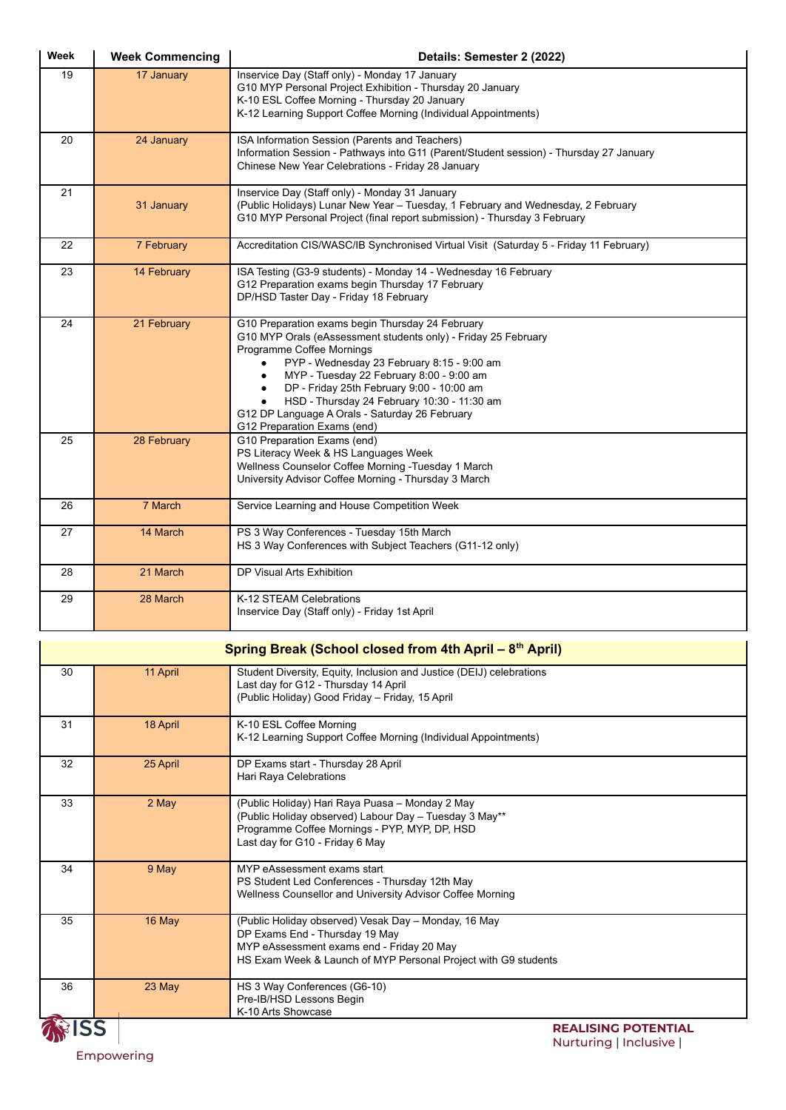| Week                                                                | <b>Week Commencing</b> | Details: Semester 2 (2022)                                                                                                                                                                                                                                                                                                                                                                                             |  |  |
|---------------------------------------------------------------------|------------------------|------------------------------------------------------------------------------------------------------------------------------------------------------------------------------------------------------------------------------------------------------------------------------------------------------------------------------------------------------------------------------------------------------------------------|--|--|
| 19                                                                  | 17 January             | Inservice Day (Staff only) - Monday 17 January<br>G10 MYP Personal Project Exhibition - Thursday 20 January<br>K-10 ESL Coffee Morning - Thursday 20 January<br>K-12 Learning Support Coffee Morning (Individual Appointments)                                                                                                                                                                                         |  |  |
| 20                                                                  | 24 January             | ISA Information Session (Parents and Teachers)<br>Information Session - Pathways into G11 (Parent/Student session) - Thursday 27 January<br>Chinese New Year Celebrations - Friday 28 January                                                                                                                                                                                                                          |  |  |
| 21                                                                  | 31 January             | Inservice Day (Staff only) - Monday 31 January<br>(Public Holidays) Lunar New Year - Tuesday, 1 February and Wednesday, 2 February<br>G10 MYP Personal Project (final report submission) - Thursday 3 February                                                                                                                                                                                                         |  |  |
| 22                                                                  | 7 February             | Accreditation CIS/WASC/IB Synchronised Virtual Visit (Saturday 5 - Friday 11 February)                                                                                                                                                                                                                                                                                                                                 |  |  |
| 23                                                                  | 14 February            | ISA Testing (G3-9 students) - Monday 14 - Wednesday 16 February<br>G12 Preparation exams begin Thursday 17 February<br>DP/HSD Taster Day - Friday 18 February                                                                                                                                                                                                                                                          |  |  |
| 24                                                                  | 21 February            | G10 Preparation exams begin Thursday 24 February<br>G10 MYP Orals (eAssessment students only) - Friday 25 February<br>Programme Coffee Mornings<br>PYP - Wednesday 23 February 8:15 - 9:00 am<br>MYP - Tuesday 22 February 8:00 - 9:00 am<br>DP - Friday 25th February 9:00 - 10:00 am<br>HSD - Thursday 24 February 10:30 - 11:30 am<br>G12 DP Language A Orals - Saturday 26 February<br>G12 Preparation Exams (end) |  |  |
| 25                                                                  | 28 February            | G10 Preparation Exams (end)<br>PS Literacy Week & HS Languages Week<br>Wellness Counselor Coffee Morning - Tuesday 1 March<br>University Advisor Coffee Morning - Thursday 3 March                                                                                                                                                                                                                                     |  |  |
| 26                                                                  | 7 March                | Service Learning and House Competition Week                                                                                                                                                                                                                                                                                                                                                                            |  |  |
| 27                                                                  | 14 March               | PS 3 Way Conferences - Tuesday 15th March<br>HS 3 Way Conferences with Subject Teachers (G11-12 only)                                                                                                                                                                                                                                                                                                                  |  |  |
| 28                                                                  | 21 March               | DP Visual Arts Exhibition                                                                                                                                                                                                                                                                                                                                                                                              |  |  |
| 29                                                                  | 28 March               | K-12 STEAM Celebrations<br>Inservice Day (Staff only) - Friday 1st April                                                                                                                                                                                                                                                                                                                                               |  |  |
| Spring Break (School closed from 4th April – 8 <sup>th</sup> April) |                        |                                                                                                                                                                                                                                                                                                                                                                                                                        |  |  |
| 30                                                                  | 11 April               | Student Diversity, Equity, Inclusion and Justice (DEIJ) celebrations<br>Last day for G12 - Thursday 14 April<br>(Public Holiday) Good Friday - Friday, 15 April                                                                                                                                                                                                                                                        |  |  |
| 31                                                                  | 18 April               | K-10 ESL Coffee Morning<br>K-12 Learning Support Coffee Morning (Individual Appointments)                                                                                                                                                                                                                                                                                                                              |  |  |
| 32                                                                  | 25 April               | DP Exams start - Thursday 28 April<br>Hari Raya Celebrations                                                                                                                                                                                                                                                                                                                                                           |  |  |
| 33                                                                  | 2 May                  | (Public Holiday) Hari Raya Puasa - Monday 2 May<br>(Public Holiday observed) Labour Day - Tuesday 3 May**<br>Programme Coffee Mornings - PYP, MYP, DP, HSD<br>Last day for G10 - Friday 6 May                                                                                                                                                                                                                          |  |  |
| 34                                                                  | 9 May                  | MYP eAssessment exams start<br>PS Student Led Conferences - Thursday 12th May<br>Wellness Counsellor and University Advisor Coffee Morning                                                                                                                                                                                                                                                                             |  |  |
| 35                                                                  | 16 May                 | (Public Holiday observed) Vesak Day - Monday, 16 May<br>DP Exams End - Thursday 19 May                                                                                                                                                                                                                                                                                                                                 |  |  |